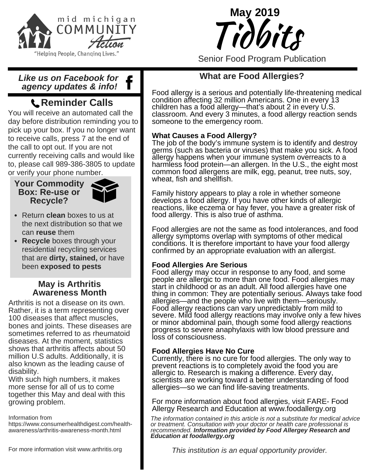



Senior Food Program Publication

### *Like us on Facebook for agency updates & info!*

# **Reminder Calls**

You will receive an automated call the day before distribution reminding you to pick up your box. If you no longer want to receive calls, press 7 at the end of the call to opt out. If you are not currently receiving calls and would like to, please call 989-386-3805 to update or verify your phone number.

#### **Your Commodity Box: Re-use or Recycle?**



- Return **clean** boxes to us at the next distribution so that we can **reuse** them
- **Recycle** boxes through your residential recycling services that are **dirty, stained,** or have been **exposed to pests**

### **May is Arthritis Awareness Month**

Arthritis is not a disease on its own. Rather, it is a term representing over 100 diseases that affect muscles, bones and joints. These diseases are sometimes referred to as rheumatoid diseases. At the moment, statistics shows that arthritis affects about 50 million U.S adults. Additionally, it is also known as the leading cause of disability.

With such high numbers, it makes more sense for all of us to come together this May and deal with this growing problem.

Information from

https://www.consumerhealthdigest.com/healthawareness/arthritis-awareness-month.html

## **What are Food Allergies?**

Food allergy is a serious and potentially life-threatening medical condition affecting 32 million Americans. One in every 13 children has a food allergy—that's about 2 in every U.S. classroom. And every 3 minutes, a food allergy reaction sends someone to the emergency room.

### **What Causes a Food Allergy?**

The job of the body's immune system is to identify and destroy germs (such as bacteria or viruses) that make you sick. A food allergy happens when your immune system overreacts to a harmless food protein—an allergen. In the U.S., the eight most common food allergens are milk, egg, peanut, tree nuts, soy, wheat, fish and shellfish.

Family history appears to play a role in whether someone develops a food allergy. If you have other kinds of allergic reactions, like eczema or hay fever, you have a greater risk of food allergy. This is also true of asthma.

Food allergies are not the same as food intolerances, and food allergy symptoms overlap with symptoms of other medical conditions. It is therefore important to have your food allergy confirmed by an appropriate evaluation with an allergist.

### **Food Allergies Are Serious**

Food allergy may occur in response to any food, and some people are allergic to more than one food. Food allergies may start in childhood or as an adult. All food allergies have one thing in common: They are potentially serious. Always take food allergies—and the people who live with them—seriously. Food allergy reactions can vary unpredictably from mild to severe. Mild food allergy reactions may involve only a few hives or minor abdominal pain, though some food allergy reactions progress to severe anaphylaxis with low blood pressure and loss of consciousness.

#### **Food Allergies Have No Cure**

Currently, there is no cure for food allergies. The only way to prevent reactions is to completely avoid the food you are allergic to. Research is making a difference. Every day, scientists are working toward a better understanding of food allergies—so we can find life-saving treatments.

For more information about food allergies, visit FARE- Food Allergy Research and Education at www.foodallergy.org

*The information contained in this article is not a substitute for medical advice or treatment. Consultation with your doctor or health care professional is recommended. Information provided by Food Allergey Research and Education at foodallergy.org*

*This institution is an equal opportunity provider.*